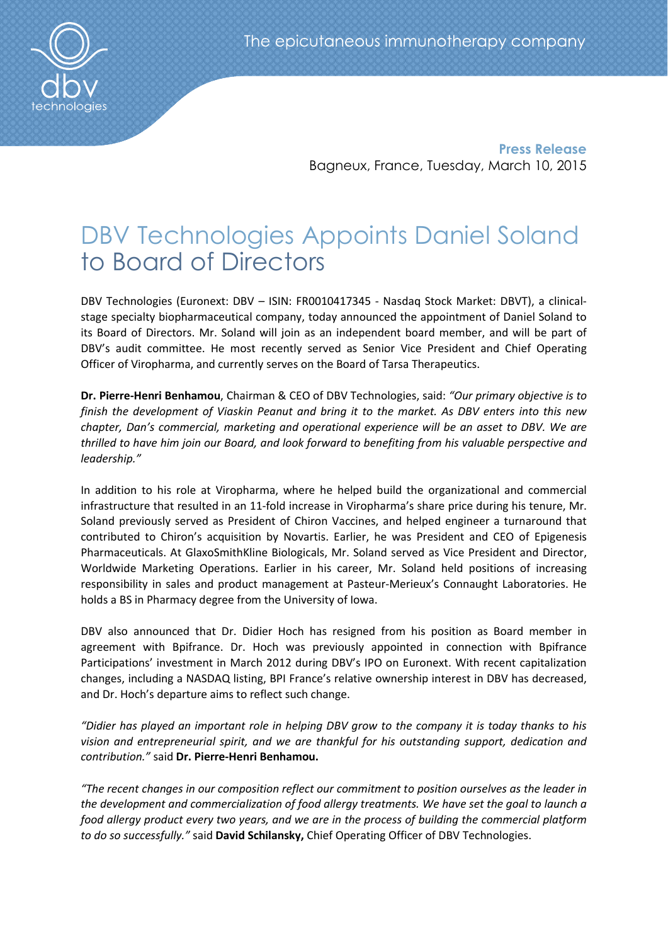

Press Release Bagneux, France, Tuesday, March 10, 2015

# DBV Technologies Appoints Daniel Soland to Board of Directors

DBV Technologies (Euronext: DBV – ISIN: FR0010417345 - Nasdaq Stock Market: DBVT), a clinicalstage specialty biopharmaceutical company, today announced the appointment of Daniel Soland to its Board of Directors. Mr. Soland will join as an independent board member, and will be part of DBV's audit committee. He most recently served as Senior Vice President and Chief Operating Officer of Viropharma, and currently serves on the Board of Tarsa Therapeutics.

Dr. Pierre-Henri Benhamou, Chairman & CEO of DBV Technologies, said: *"Our primary objective is to finish the development of Viaskin Peanut and bring it to the market. As DBV enters into this new chapter, Dan's commercial, marketing and operational experience will be an asset to DBV. We are thrilled to have him join our Board, and look forward to benefiting from his valuable perspective and leadership."* 

In addition to his role at Viropharma, where he helped build the organizational and commercial infrastructure that resulted in an 11-fold increase in Viropharma's share price during his tenure, Mr. Soland previously served as President of Chiron Vaccines, and helped engineer a turnaround that contributed to Chiron's acquisition by Novartis. Earlier, he was President and CEO of Epigenesis Pharmaceuticals. At GlaxoSmithKline Biologicals, Mr. Soland served as Vice President and Director, Worldwide Marketing Operations. Earlier in his career, Mr. Soland held positions of increasing responsibility in sales and product management at Pasteur-Merieux's Connaught Laboratories. He holds a BS in Pharmacy degree from the University of Iowa.

DBV also announced that Dr. Didier Hoch has resigned from his position as Board member in agreement with Bpifrance. Dr. Hoch was previously appointed in connection with Bpifrance Participations' investment in March 2012 during DBV's IPO on Euronext. With recent capitalization changes, including a NASDAQ listing, BPI France's relative ownership interest in DBV has decreased, and Dr. Hoch's departure aims to reflect such change.

*"Didier has played an important role in helping DBV grow to the company it is today thanks to his vision and entrepreneurial spirit, and we are thankful for his outstanding support, dedication and contribution."* said Dr. Pierre-Henri Benhamou.

*"The recent changes in our composition reflect our commitment to position ourselves as the leader in the development and commercialization of food allergy treatments. We have set the goal to launch a food allergy product every two years, and we are in the process of building the commercial platform to do so successfully."* said David Schilansky, Chief Operating Officer of DBV Technologies.